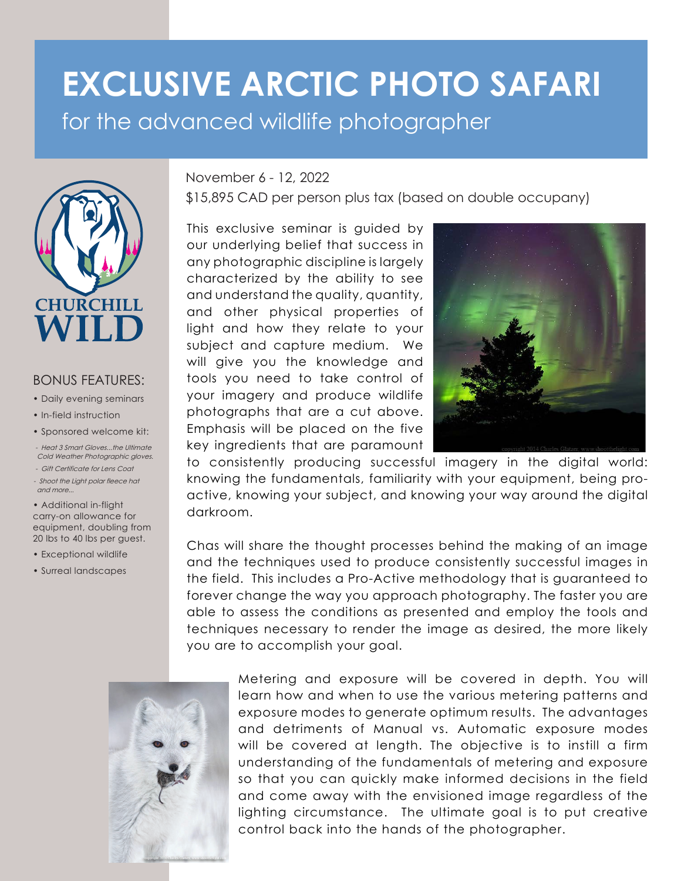## **EXCLUSIVE ARCTIC PHOTO SAFARI**  for the advanced wildlife photographer



## BONUS FEATURES:

- Daily evening seminars
- In-field instruction
- Sponsored welcome kit:
- Heat 3 Smart Gloves...the Ultimate Cold Weather Photographic gloves.
- Gift Certificate for Lens Coat
- Shoot the Light polar fleece hat and more...

• Additional in-flight carry-on allowance for equipment, doubling from 20 lbs to 40 lbs per guest.

- Exceptional wildlife
- Surreal landscapes

## November 6 - 12, 2022

\$15,895 CAD per person plus tax (based on double occupany)

This exclusive seminar is guided by our underlying belief that success in any photographic discipline is largely characterized by the ability to see and understand the quality, quantity, and other physical properties of light and how they relate to your subject and capture medium. We will give you the knowledge and tools you need to take control of your imagery and produce wildlife photographs that are a cut above. Emphasis will be placed on the five key ingredients that are paramount



to consistently producing successful imagery in the digital world: knowing the fundamentals, familiarity with your equipment, being proactive, knowing your subject, and knowing your way around the digital darkroom.

Chas will share the thought processes behind the making of an image and the techniques used to produce consistently successful images in the field. This includes a Pro-Active methodology that is guaranteed to forever change the way you approach photography. The faster you are able to assess the conditions as presented and employ the tools and techniques necessary to render the image as desired, the more likely you are to accomplish your goal.



Metering and exposure will be covered in depth. You will learn how and when to use the various metering patterns and exposure modes to generate optimum results. The advantages and detriments of Manual vs. Automatic exposure modes will be covered at length. The objective is to instill a firm understanding of the fundamentals of metering and exposure so that you can quickly make informed decisions in the field and come away with the envisioned image regardless of the lighting circumstance. The ultimate goal is to put creative control back into the hands of the photographer.